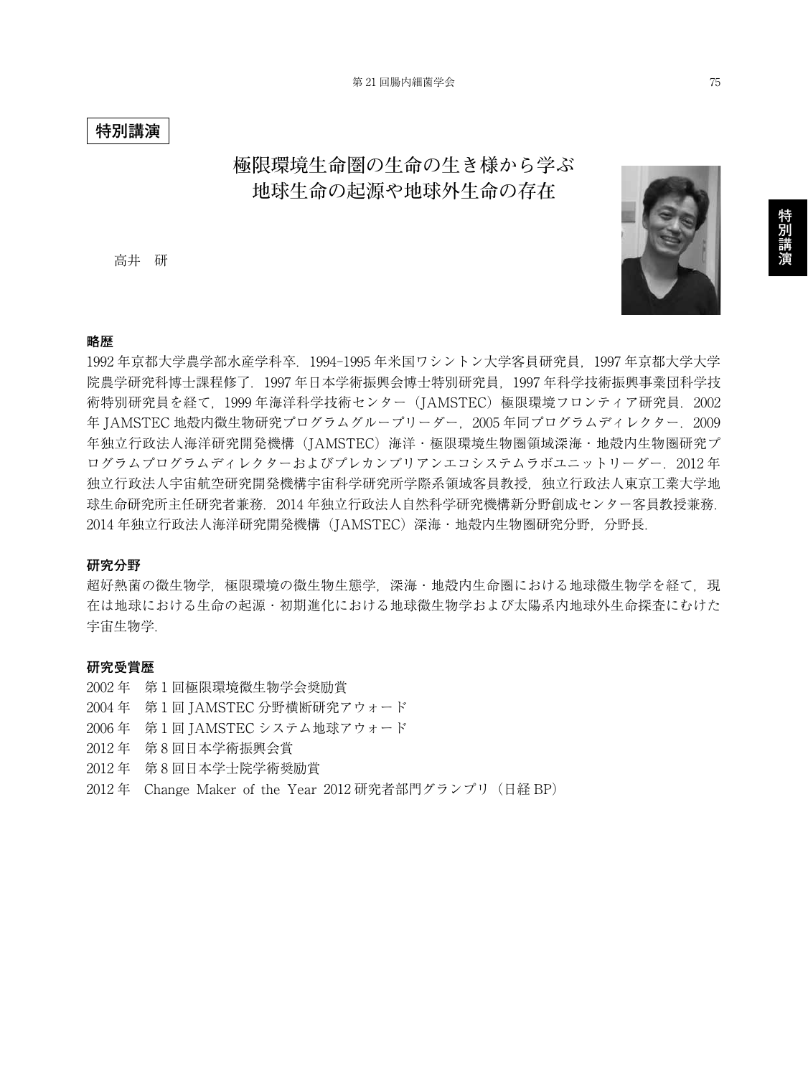### **特別講演**

## **極限環境生命圏の生命の生き様から学ぶ 地球生命の起源や地球外生命の存在**

高井 研



### **略歴**

1992 年京都大学農学部水産学科卒.1994-1995 年米国ワシントン大学客員研究員,1997 年京都大学大学 院農学研究科博士課程修了.1997 年日本学術振興会博士特別研究員,1997 年科学技術振興事業団科学技 術特別研究員を経て, 1999年海洋科学技術センター (JAMSTEC) 極限環境フロンティア研究員. 2002 年 JAMSTEC 地殻内微生物研究プログラムグループリーダー,2005 年同プログラムディレクター.2009 年独立行政法人海洋研究開発機構(JAMSTEC)海洋・極限環境生物圏領域深海・地殻内生物圏研究プ ログラムプログラムディレクターおよびプレカンブリアンエコシステムラボユニットリーダー.2012 年 独立行政法人宇宙航空研究開発機構宇宙科学研究所学際系領域客員教授,独立行政法人東京工業大学地 球生命研究所主任研究者兼務.2014 年独立行政法人自然科学研究機構新分野創成センター客員教授兼務. 2014 年独立行政法人海洋研究開発機構(JAMSTEC)深海・地殻内生物圏研究分野,分野長.

### **研究分野**

超好熱菌の微生物学,極限環境の微生物生態学,深海・地殻内生命圏における地球微生物学を経て,現 在は地球における生命の起源・初期進化における地球微生物学および太陽系内地球外生命探査にむけた 宇宙生物学.

#### **研究受賞歴**

2002 年 第1回極限環境微生物学会奨励賞 2004 年 第1回 JAMSTEC 分野横断研究アウォード 2006 年 第1回 JAMSTEC システム地球アウォード 2012 年 第 8 回日本学術振興会賞 2012 年 第 8 回日本学士院学術奨励賞 2012 年 Change Maker of the Year 2012 研究者部門グランプリ(日経 BP)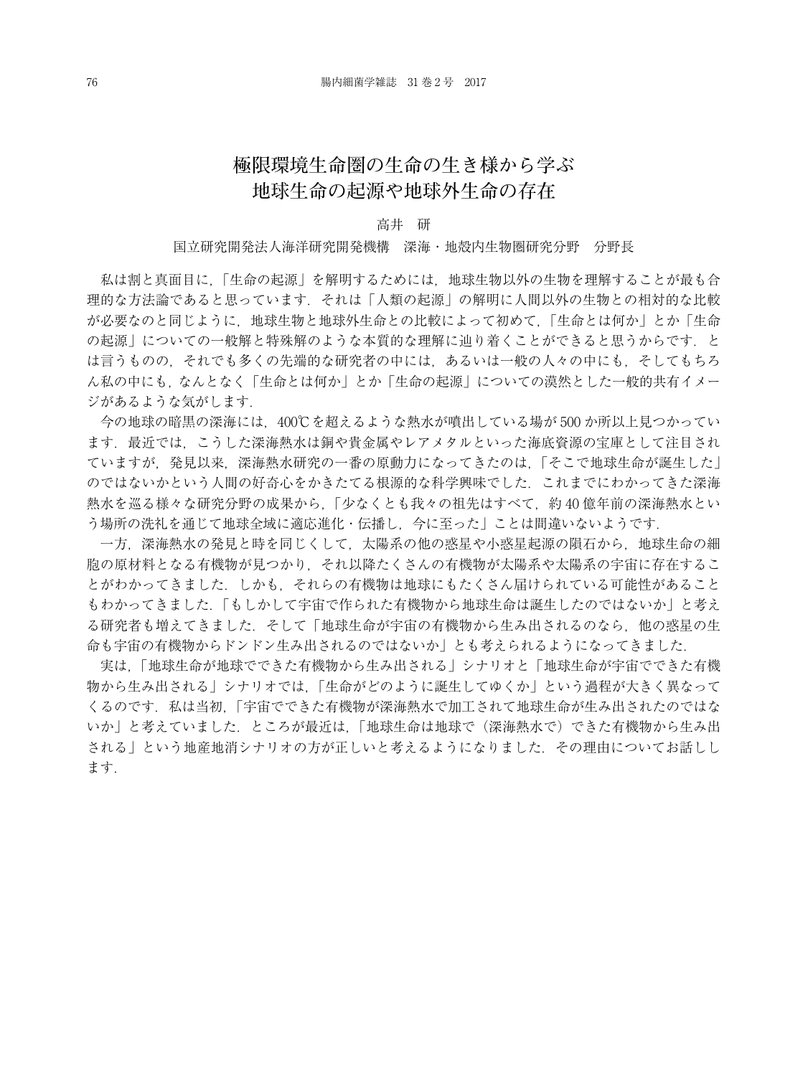# **極限環境生命圏の生命の生き様から学ぶ 地球生命の起源や地球外生命の存在**

#### 高井 研

#### 国立研究開発法人海洋研究開発機構 深海・地殻内生物圏研究分野 分野長

私は割と真面目に,「生命の起源」を解明するためには,地球生物以外の生物を理解することが最も合 理的な方法論であると思っています.それは「人類の起源」の解明に人間以外の生物との相対的な比較 が必要なのと同じように,地球生物と地球外生命との比較によって初めて,「生命とは何か」とか「生命 の起源」についての一般解と特殊解のような本質的な理解に辿り着くことができると思うからです.と は言うものの,それでも多くの先端的な研究者の中には,あるいは一般の人々の中にも,そしてもちろ ん私の中にも,なんとなく「生命とは何か」とか「生命の起源」についての漠然とした一般的共有イメー ジがあるような気がします.

今の地球の暗黒の深海には,400℃を超えるような熱水が噴出している場が 500 か所以上見つかってい ます.最近では,こうした深海熱水は銅や貴金属やレアメタルといった海底資源の宝庫として注目され ていますが,発見以来,深海熱水研究の一番の原動力になってきたのは,「そこで地球生命が誕生した」 のではないかという人間の好奇心をかきたてる根源的な科学興味でした.これまでにわかってきた深海 熱水を巡る様々な研究分野の成果から,「少なくとも我々の祖先はすべて,約 40 億年前の深海熱水とい う場所の洗礼を通じて地球全域に適応進化・伝播し,今に至った」ことは間違いないようです.

一方,深海熱水の発見と時を同じくして,太陽系の他の惑星や小惑星起源の隕石から,地球生命の細 胞の原材料となる有機物が見つかり,それ以降たくさんの有機物が太陽系や太陽系の宇宙に存在するこ とがわかってきました.しかも,それらの有機物は地球にもたくさん届けられている可能性があること もわかってきました.「もしかして宇宙で作られた有機物から地球生命は誕生したのではないか」と考え る研究者も増えてきました. そして「地球生命が宇宙の有機物から生み出されるのなら, 他の惑星の生 命も宇宙の有機物からドンドン生み出されるのではないか」とも考えられるようになってきました.

実は,「地球生命が地球でできた有機物から生み出される」シナリオと「地球生命が宇宙でできた有機 物から生み出される」シナリオでは,「生命がどのように誕生してゆくか」という過程が大きく異なって くるのです.私は当初,「宇宙でできた有機物が深海熱水で加工されて地球生命が生み出されたのではな いか」と考えていました.ところが最近は,「地球生命は地球で(深海熱水で)できた有機物から生み出 される」という地産地消シナリオの方が正しいと考えるようになりました. その理由についてお話しし ます.